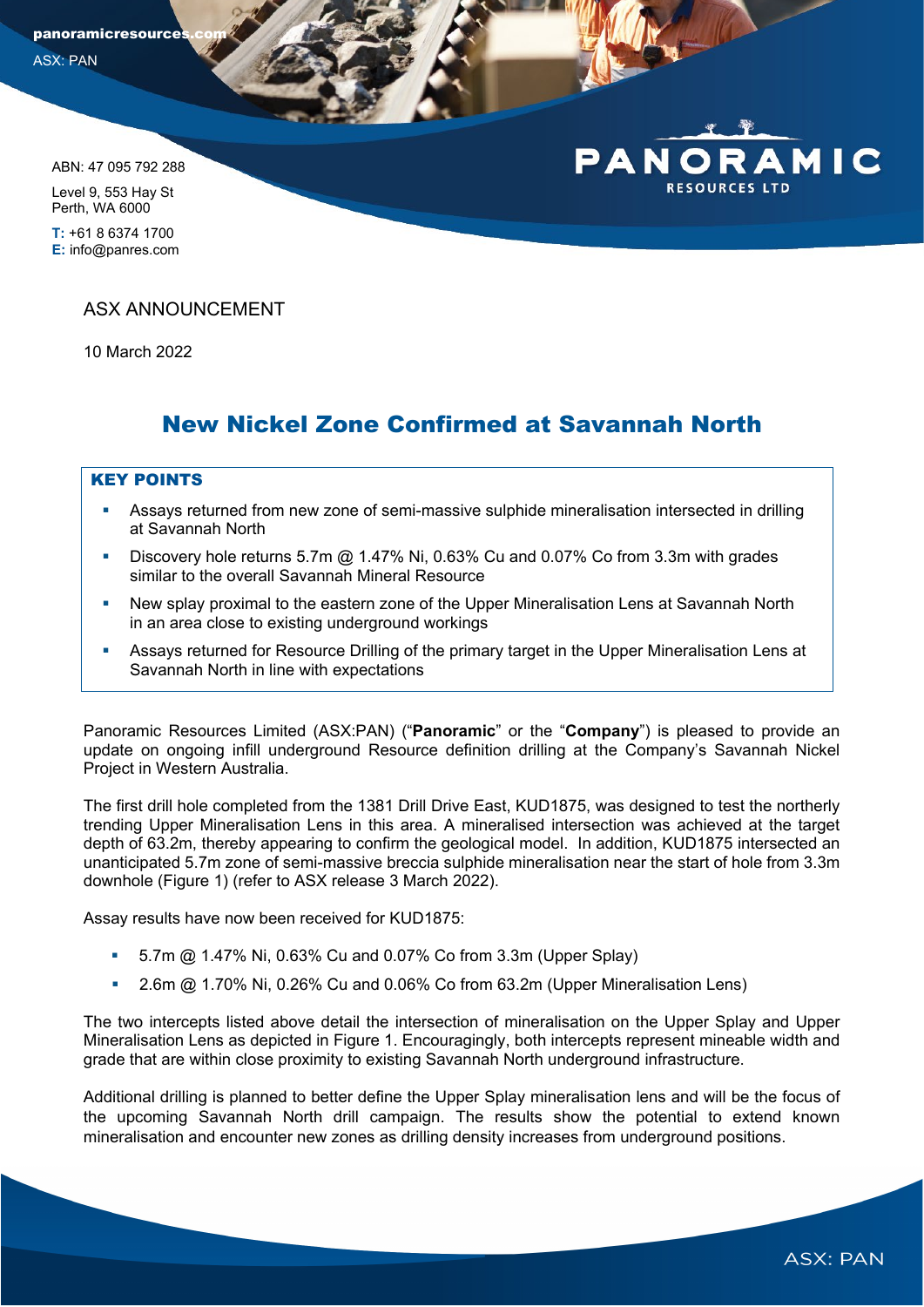panoramicresource

ASX: PAN

ABN: 47 095 792 288 Level 9, 553 Hay St

Perth, WA 6000 **T:** +61 8 6374 1700 **E:** info@panres.com

ASX ANNOUNCEMENT

10 March 2022

# New Nickel Zone Confirmed at Savannah North

## KEY POINTS

- Assays returned from new zone of semi-massive sulphide mineralisation intersected in drilling at Savannah North
- Discovery hole returns 5.7m @ 1.47% Ni, 0.63% Cu and 0.07% Co from 3.3m with grades similar to the overall Savannah Mineral Resource
- New splay proximal to the eastern zone of the Upper Mineralisation Lens at Savannah North in an area close to existing underground workings
- Assays returned for Resource Drilling of the primary target in the Upper Mineralisation Lens at Savannah North in line with expectations

Panoramic Resources Limited (ASX:PAN) ("**Panoramic**" or the "**Company**") is pleased to provide an update on ongoing infill underground Resource definition drilling at the Company's Savannah Nickel Project in Western Australia.

The first drill hole completed from the 1381 Drill Drive East, KUD1875, was designed to test the northerly trending Upper Mineralisation Lens in this area. A mineralised intersection was achieved at the target depth of 63.2m, thereby appearing to confirm the geological model. In addition, KUD1875 intersected an unanticipated 5.7m zone of semi-massive breccia sulphide mineralisation near the start of hole from 3.3m downhole (Figure 1) (refer to ASX release 3 March 2022).

Assay results have now been received for KUD1875:

- 5.7m @ 1.47% Ni, 0.63% Cu and 0.07% Co from 3.3m (Upper Splay)
- 2.6m @ 1.70% Ni, 0.26% Cu and 0.06% Co from 63.2m (Upper Mineralisation Lens)

The two intercepts listed above detail the intersection of mineralisation on the Upper Splay and Upper Mineralisation Lens as depicted in Figure 1. Encouragingly, both intercepts represent mineable width and grade that are within close proximity to existing Savannah North underground infrastructure.

Additional drilling is planned to better define the Upper Splay mineralisation lens and will be the focus of the upcoming Savannah North drill campaign. The results show the potential to extend known mineralisation and encounter new zones as drilling density increases from underground positions.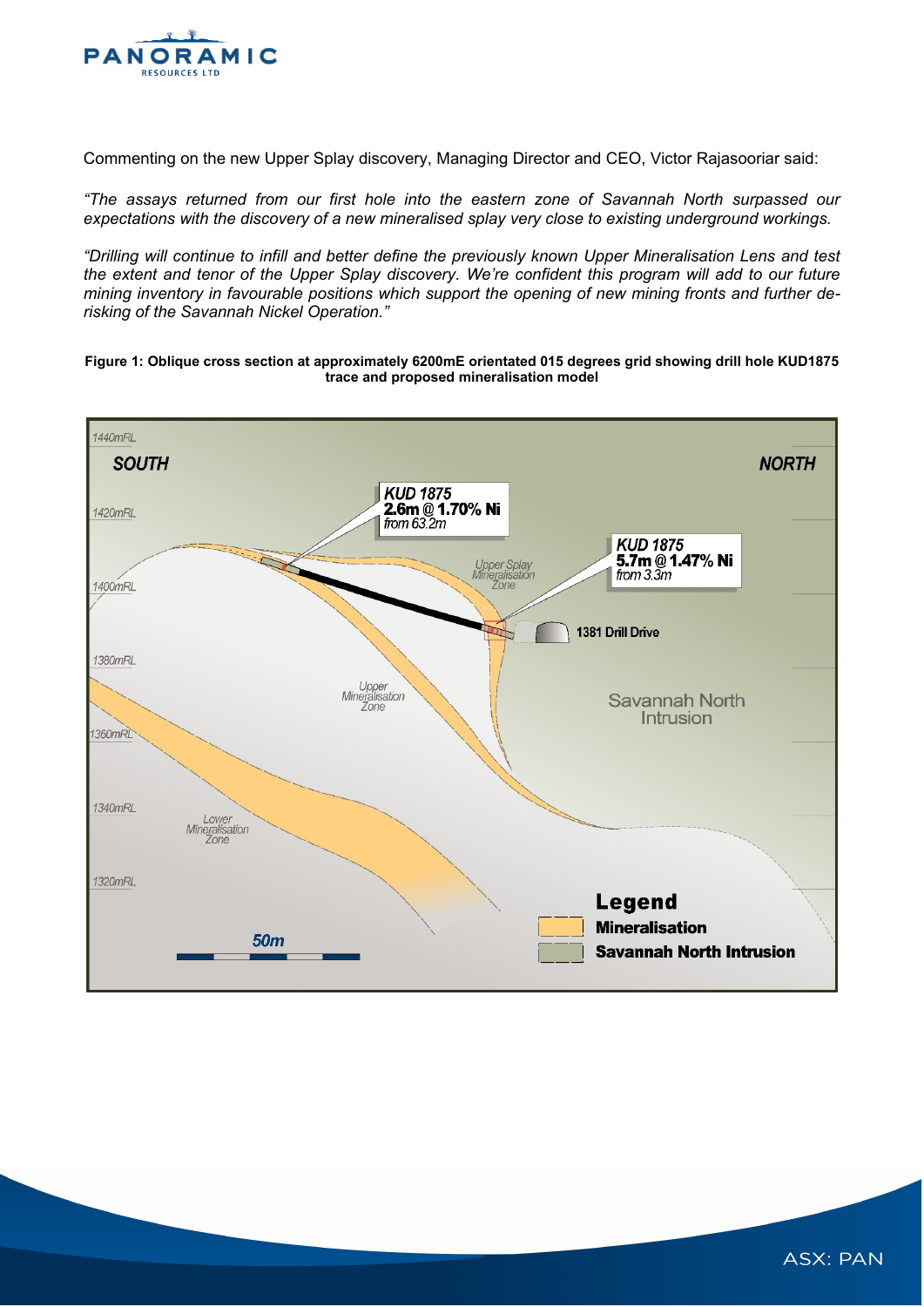

Commenting on the new Upper Splay discovery, Managing Director and CEO, Victor Rajasooriar said:

*"The assays returned from our first hole into the eastern zone of Savannah North surpassed our expectations with the discovery of a new mineralised splay very close to existing underground workings.* 

*"Drilling will continue to infill and better define the previously known Upper Mineralisation Lens and test the extent and tenor of the Upper Splay discovery. We're confident this program will add to our future mining inventory in favourable positions which support the opening of new mining fronts and further derisking of the Savannah Nickel Operation."*

**Figure 1: Oblique cross section at approximately 6200mE orientated 015 degrees grid showing drill hole KUD1875 trace and proposed mineralisation model**

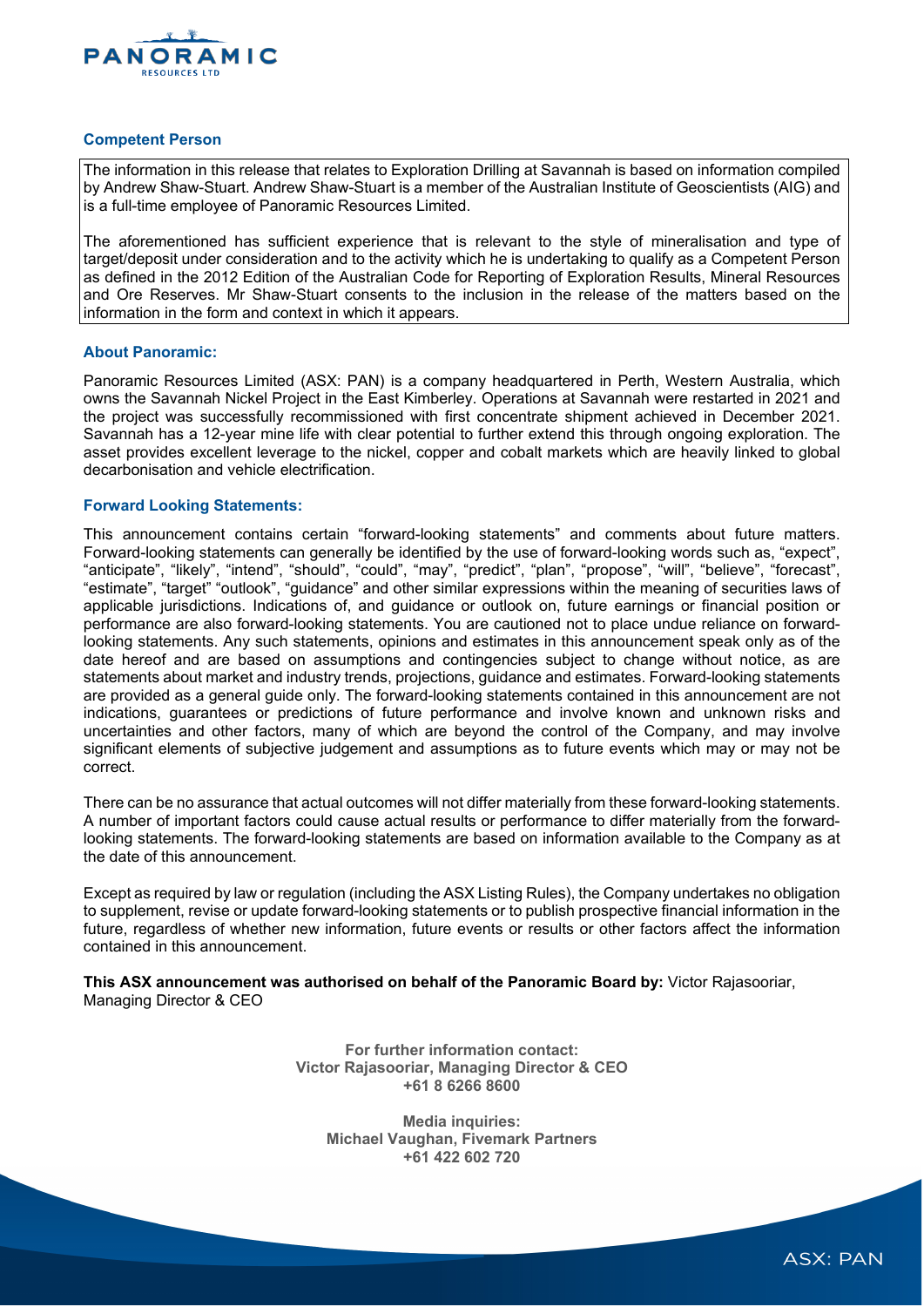

#### **Competent Person**

The information in this release that relates to Exploration Drilling at Savannah is based on information compiled by Andrew Shaw-Stuart. Andrew Shaw-Stuart is a member of the Australian Institute of Geoscientists (AIG) and is a full-time employee of Panoramic Resources Limited.

The aforementioned has sufficient experience that is relevant to the style of mineralisation and type of target/deposit under consideration and to the activity which he is undertaking to qualify as a Competent Person as defined in the 2012 Edition of the Australian Code for Reporting of Exploration Results, Mineral Resources and Ore Reserves. Mr Shaw-Stuart consents to the inclusion in the release of the matters based on the information in the form and context in which it appears.

### **About Panoramic:**

Panoramic Resources Limited (ASX: PAN) is a company headquartered in Perth, Western Australia, which owns the Savannah Nickel Project in the East Kimberley. Operations at Savannah were restarted in 2021 and the project was successfully recommissioned with first concentrate shipment achieved in December 2021. Savannah has a 12-year mine life with clear potential to further extend this through ongoing exploration. The asset provides excellent leverage to the nickel, copper and cobalt markets which are heavily linked to global decarbonisation and vehicle electrification.

#### **Forward Looking Statements:**

This announcement contains certain "forward-looking statements" and comments about future matters. Forward-looking statements can generally be identified by the use of forward-looking words such as, "expect", "anticipate", "likely", "intend", "should", "could", "may", "predict", "plan", "propose", "will", "believe", "forecast", "estimate", "target" "outlook", "guidance" and other similar expressions within the meaning of securities laws of applicable jurisdictions. Indications of, and guidance or outlook on, future earnings or financial position or performance are also forward-looking statements. You are cautioned not to place undue reliance on forwardlooking statements. Any such statements, opinions and estimates in this announcement speak only as of the date hereof and are based on assumptions and contingencies subject to change without notice, as are statements about market and industry trends, projections, guidance and estimates. Forward-looking statements are provided as a general guide only. The forward-looking statements contained in this announcement are not indications, guarantees or predictions of future performance and involve known and unknown risks and uncertainties and other factors, many of which are beyond the control of the Company, and may involve significant elements of subjective judgement and assumptions as to future events which may or may not be correct.

There can be no assurance that actual outcomes will not differ materially from these forward-looking statements. A number of important factors could cause actual results or performance to differ materially from the forwardlooking statements. The forward-looking statements are based on information available to the Company as at the date of this announcement.

Except as required by law or regulation (including the ASX Listing Rules), the Company undertakes no obligation to supplement, revise or update forward-looking statements or to publish prospective financial information in the future, regardless of whether new information, future events or results or other factors affect the information contained in this announcement.

**This ASX announcement was authorised on behalf of the Panoramic Board by:** Victor Rajasooriar, Managing Director & CEO

> **For further information contact: Victor Rajasooriar, Managing Director & CEO +61 8 6266 8600**

**Media inquiries: Michael Vaughan, Fivemark Partners +61 422 602 720**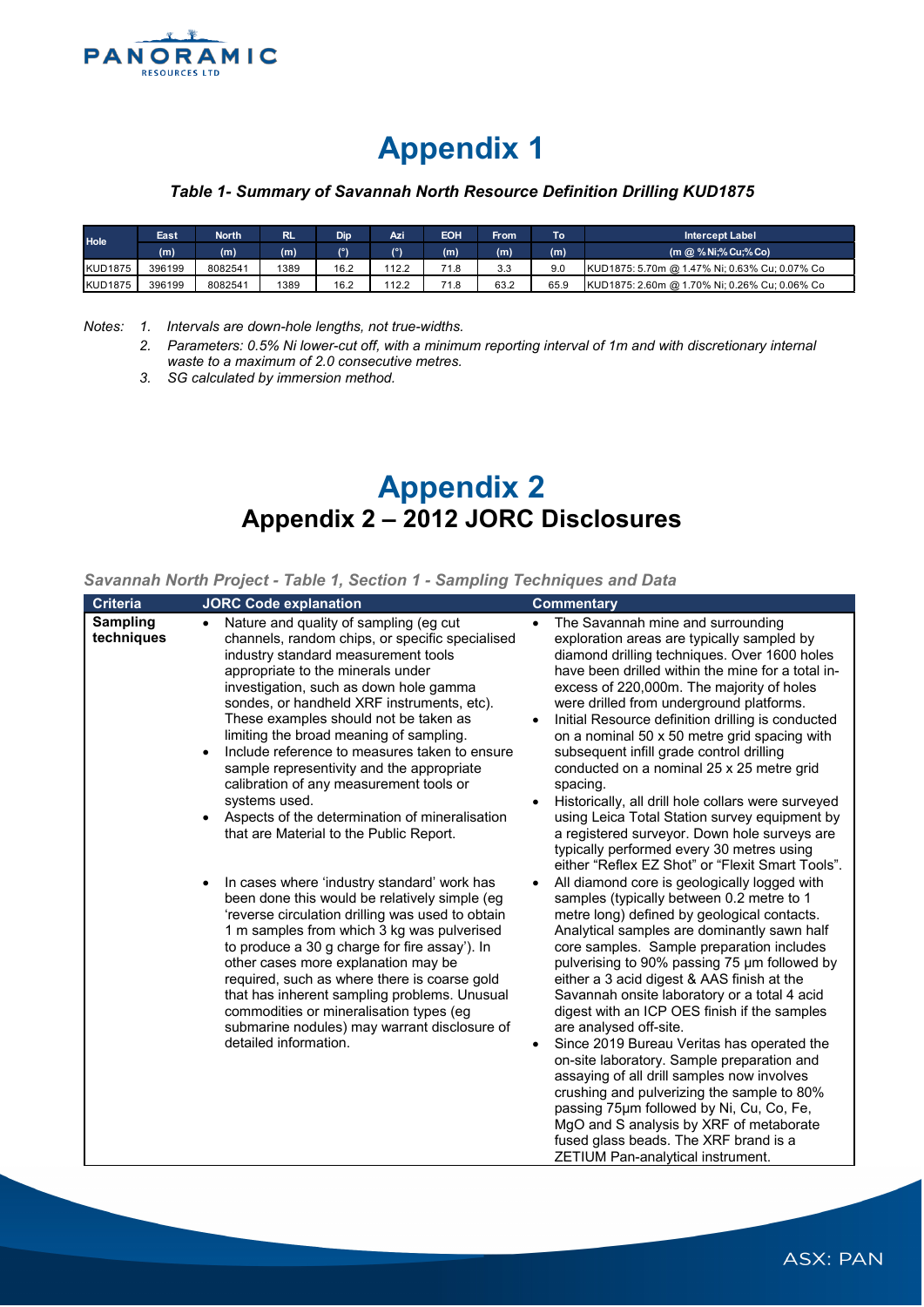

# **Appendix 1**

## *Table 1- Summary of Savannah North Resource Definition Drilling KUD1875*

| Hole           | East   | <b>North</b> | 'रा⊾ | Dip  | Azi  | <b>EOH</b> | <b>From</b> | To <b>I</b> | <b>Intercept Label</b>                        |
|----------------|--------|--------------|------|------|------|------------|-------------|-------------|-----------------------------------------------|
|                | (m)    | (m)          | (m)  | ۱۹۱  | ۱۹   | (m)        | (m)         | (m)         | $(n \oslash \% Ni; \% Cu; \% Co)$             |
| <b>KUD1875</b> | 396199 | 8082541      | 1389 | 16.2 | 12.2 | 71.8       | 3.3         | 9.0         | KUD1875: 5.70m @ 1.47% Ni; 0.63% Cu; 0.07% Co |
| <b>KUD1875</b> | 396199 | 8082541      | 1389 | 16.2 | 12.2 | 71.8       | 63.2        | 65.9        | KUD1875: 2.60m @ 1.70% Ni; 0.26% Cu; 0.06% Co |

*Notes: 1. Intervals are down-hole lengths, not true-widths.*

*2. Parameters: 0.5% Ni lower-cut off, with a minimum reporting interval of 1m and with discretionary internal waste to a maximum of 2.0 consecutive metres.* 

*3. SG calculated by immersion method.*

# **Appendix 2 Appendix 2 – 2012 JORC Disclosures**

### *Savannah North Project - Table 1, Section 1 - Sampling Techniques and Data*

| Sampling<br>Nature and quality of sampling (eg cut<br>The Savannah mine and surrounding<br>$\bullet$<br>$\bullet$<br>techniques<br>channels, random chips, or specific specialised<br>exploration areas are typically sampled by<br>diamond drilling techniques. Over 1600 holes<br>industry standard measurement tools<br>appropriate to the minerals under<br>have been drilled within the mine for a total in-<br>excess of 220,000m. The majority of holes<br>investigation, such as down hole gamma<br>sondes, or handheld XRF instruments, etc).<br>were drilled from underground platforms.<br>These examples should not be taken as<br>Initial Resource definition drilling is conducted<br>limiting the broad meaning of sampling.<br>on a nominal 50 x 50 metre grid spacing with<br>Include reference to measures taken to ensure<br>subsequent infill grade control drilling<br>sample representivity and the appropriate<br>conducted on a nominal 25 x 25 metre grid<br>calibration of any measurement tools or<br>spacing.<br>systems used.<br>Historically, all drill hole collars were surveyed<br>Aspects of the determination of mineralisation<br>using Leica Total Station survey equipment by<br>that are Material to the Public Report.<br>a registered surveyor. Down hole surveys are<br>typically performed every 30 metres using<br>either "Reflex EZ Shot" or "Flexit Smart Tools".<br>All diamond core is geologically logged with<br>In cases where 'industry standard' work has<br>been done this would be relatively simple (eg<br>samples (typically between 0.2 metre to 1<br>'reverse circulation drilling was used to obtain<br>metre long) defined by geological contacts.<br>1 m samples from which 3 kg was pulverised<br>Analytical samples are dominantly sawn half<br>to produce a 30 g charge for fire assay'). In<br>core samples. Sample preparation includes<br>other cases more explanation may be<br>pulverising to 90% passing 75 µm followed by<br>required, such as where there is coarse gold<br>either a 3 acid digest & AAS finish at the<br>that has inherent sampling problems. Unusual<br>Savannah onsite laboratory or a total 4 acid<br>commodities or mineralisation types (eg<br>digest with an ICP OES finish if the samples<br>submarine nodules) may warrant disclosure of<br>are analysed off-site.<br>detailed information.<br>Since 2019 Bureau Veritas has operated the<br>$\bullet$<br>on-site laboratory. Sample preparation and<br>assaying of all drill samples now involves<br>crushing and pulverizing the sample to 80%<br>passing 75um followed by Ni, Cu, Co, Fe,<br>MgO and S analysis by XRF of metaborate<br>fused glass beads. The XRF brand is a<br>ZETIUM Pan-analytical instrument. |  |
|-------------------------------------------------------------------------------------------------------------------------------------------------------------------------------------------------------------------------------------------------------------------------------------------------------------------------------------------------------------------------------------------------------------------------------------------------------------------------------------------------------------------------------------------------------------------------------------------------------------------------------------------------------------------------------------------------------------------------------------------------------------------------------------------------------------------------------------------------------------------------------------------------------------------------------------------------------------------------------------------------------------------------------------------------------------------------------------------------------------------------------------------------------------------------------------------------------------------------------------------------------------------------------------------------------------------------------------------------------------------------------------------------------------------------------------------------------------------------------------------------------------------------------------------------------------------------------------------------------------------------------------------------------------------------------------------------------------------------------------------------------------------------------------------------------------------------------------------------------------------------------------------------------------------------------------------------------------------------------------------------------------------------------------------------------------------------------------------------------------------------------------------------------------------------------------------------------------------------------------------------------------------------------------------------------------------------------------------------------------------------------------------------------------------------------------------------------------------------------------------------------------------------------------------------------------------------------------------------------------------------------------------------------------------------------------------------------------------------------------------------------------------------|--|
|                                                                                                                                                                                                                                                                                                                                                                                                                                                                                                                                                                                                                                                                                                                                                                                                                                                                                                                                                                                                                                                                                                                                                                                                                                                                                                                                                                                                                                                                                                                                                                                                                                                                                                                                                                                                                                                                                                                                                                                                                                                                                                                                                                                                                                                                                                                                                                                                                                                                                                                                                                                                                                                                                                                                                                         |  |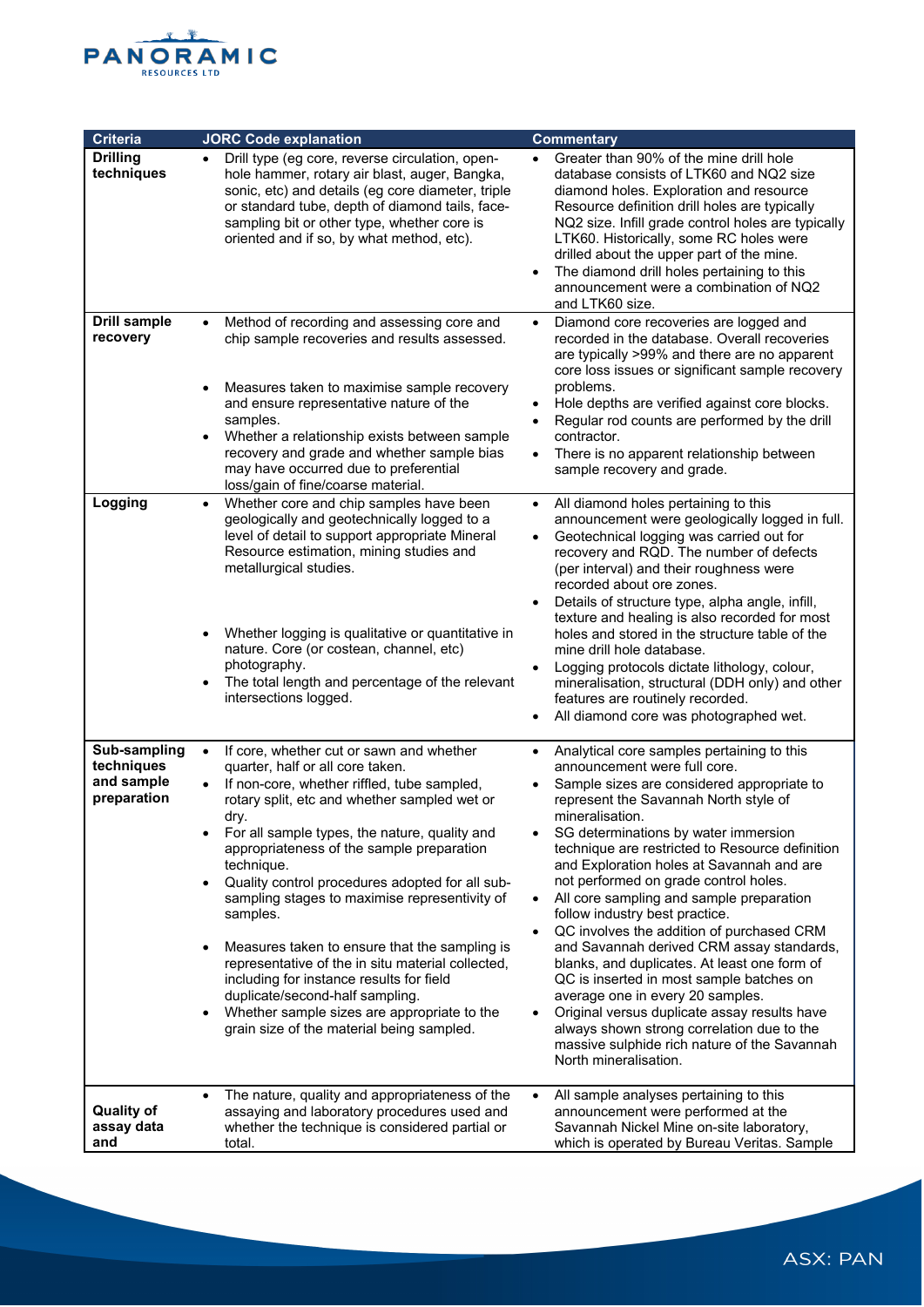

| Criteria                                                | <b>JORC Code explanation</b>                                                                                                                                                                                                                                                                                                                                                                                                                                                                                                                                                                                                                                                                                                            | <b>Commentary</b>                                                                                                                                                                                                                                                                                                                                                                                                                                                                                                                                                                                                                                                                                                                                                                                                                                                              |
|---------------------------------------------------------|-----------------------------------------------------------------------------------------------------------------------------------------------------------------------------------------------------------------------------------------------------------------------------------------------------------------------------------------------------------------------------------------------------------------------------------------------------------------------------------------------------------------------------------------------------------------------------------------------------------------------------------------------------------------------------------------------------------------------------------------|--------------------------------------------------------------------------------------------------------------------------------------------------------------------------------------------------------------------------------------------------------------------------------------------------------------------------------------------------------------------------------------------------------------------------------------------------------------------------------------------------------------------------------------------------------------------------------------------------------------------------------------------------------------------------------------------------------------------------------------------------------------------------------------------------------------------------------------------------------------------------------|
| <b>Drilling</b><br>techniques                           | Drill type (eg core, reverse circulation, open-<br>$\bullet$<br>hole hammer, rotary air blast, auger, Bangka,<br>sonic, etc) and details (eg core diameter, triple<br>or standard tube, depth of diamond tails, face-<br>sampling bit or other type, whether core is<br>oriented and if so, by what method, etc).                                                                                                                                                                                                                                                                                                                                                                                                                       | Greater than 90% of the mine drill hole<br>database consists of LTK60 and NQ2 size<br>diamond holes. Exploration and resource<br>Resource definition drill holes are typically<br>NQ2 size. Infill grade control holes are typically<br>LTK60. Historically, some RC holes were<br>drilled about the upper part of the mine.<br>The diamond drill holes pertaining to this<br>$\bullet$<br>announcement were a combination of NQ2<br>and LTK60 size.                                                                                                                                                                                                                                                                                                                                                                                                                           |
| <b>Drill sample</b><br>recovery                         | Method of recording and assessing core and<br>chip sample recoveries and results assessed.<br>Measures taken to maximise sample recovery<br>and ensure representative nature of the<br>samples.<br>Whether a relationship exists between sample<br>$\bullet$<br>recovery and grade and whether sample bias<br>may have occurred due to preferential<br>loss/gain of fine/coarse material.                                                                                                                                                                                                                                                                                                                                               | Diamond core recoveries are logged and<br>$\bullet$<br>recorded in the database. Overall recoveries<br>are typically >99% and there are no apparent<br>core loss issues or significant sample recovery<br>problems.<br>Hole depths are verified against core blocks.<br>$\bullet$<br>Regular rod counts are performed by the drill<br>$\bullet$<br>contractor.<br>There is no apparent relationship between<br>$\bullet$<br>sample recovery and grade.                                                                                                                                                                                                                                                                                                                                                                                                                         |
| Logging                                                 | Whether core and chip samples have been<br>$\bullet$<br>geologically and geotechnically logged to a<br>level of detail to support appropriate Mineral<br>Resource estimation, mining studies and<br>metallurgical studies.<br>Whether logging is qualitative or quantitative in<br>$\bullet$<br>nature. Core (or costean, channel, etc)<br>photography.<br>The total length and percentage of the relevant<br>intersections logged.                                                                                                                                                                                                                                                                                                     | All diamond holes pertaining to this<br>$\bullet$<br>announcement were geologically logged in full.<br>Geotechnical logging was carried out for<br>recovery and RQD. The number of defects<br>(per interval) and their roughness were<br>recorded about ore zones.<br>Details of structure type, alpha angle, infill,<br>texture and healing is also recorded for most<br>holes and stored in the structure table of the<br>mine drill hole database.<br>Logging protocols dictate lithology, colour,<br>mineralisation, structural (DDH only) and other<br>features are routinely recorded.<br>All diamond core was photographed wet.<br>$\bullet$                                                                                                                                                                                                                            |
| Sub-sampling<br>techniques<br>and sample<br>preparation | If core, whether cut or sawn and whether<br>$\bullet$<br>quarter, half or all core taken.<br>If non-core, whether riffled, tube sampled,<br>rotary split, etc and whether sampled wet or<br>dry.<br>For all sample types, the nature, quality and<br>appropriateness of the sample preparation<br>technique.<br>Quality control procedures adopted for all sub-<br>$\bullet$<br>sampling stages to maximise representivity of<br>samples.<br>Measures taken to ensure that the sampling is<br>representative of the in situ material collected,<br>including for instance results for field<br>duplicate/second-half sampling.<br>Whether sample sizes are appropriate to the<br>$\bullet$<br>grain size of the material being sampled. | Analytical core samples pertaining to this<br>$\bullet$<br>announcement were full core.<br>Sample sizes are considered appropriate to<br>represent the Savannah North style of<br>mineralisation.<br>SG determinations by water immersion<br>technique are restricted to Resource definition<br>and Exploration holes at Savannah and are<br>not performed on grade control holes.<br>All core sampling and sample preparation<br>follow industry best practice.<br>QC involves the addition of purchased CRM<br>$\bullet$<br>and Savannah derived CRM assay standards,<br>blanks, and duplicates. At least one form of<br>QC is inserted in most sample batches on<br>average one in every 20 samples.<br>Original versus duplicate assay results have<br>always shown strong correlation due to the<br>massive sulphide rich nature of the Savannah<br>North mineralisation. |
| <b>Quality of</b><br>assay data<br>and                  | The nature, quality and appropriateness of the<br>assaying and laboratory procedures used and<br>whether the technique is considered partial or<br>total.                                                                                                                                                                                                                                                                                                                                                                                                                                                                                                                                                                               | All sample analyses pertaining to this<br>announcement were performed at the<br>Savannah Nickel Mine on-site laboratory,<br>which is operated by Bureau Veritas. Sample                                                                                                                                                                                                                                                                                                                                                                                                                                                                                                                                                                                                                                                                                                        |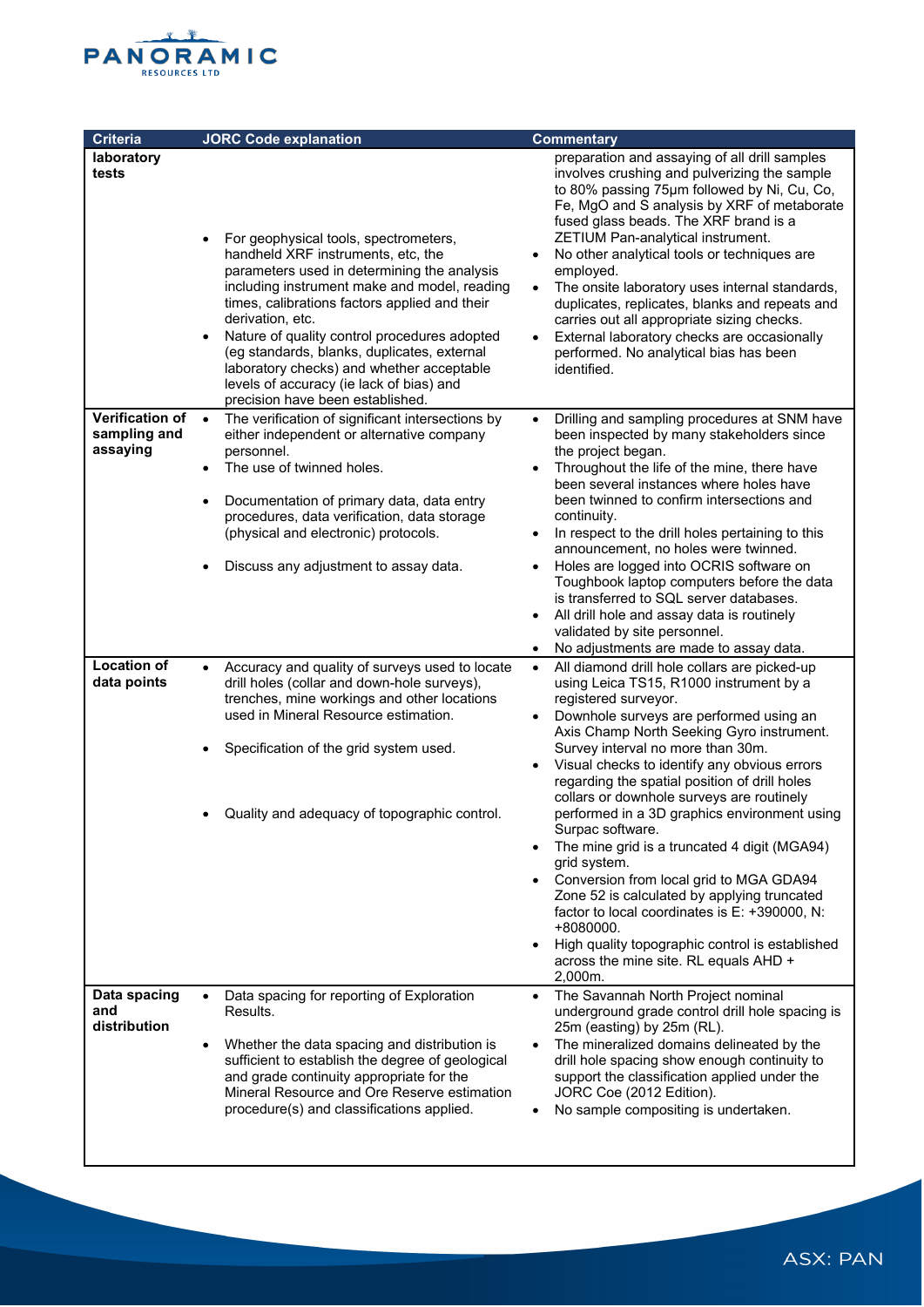

| <b>Criteria</b>                                    | <b>JORC Code explanation</b>                                                                                                                                                                                                                                                                                                                                                                                                                                                | <b>Commentary</b>                                                                                                                                                                                                                                                                                                                                                                                                                                                                                                                                                                                                                                                                                                                                                                                                                    |  |  |
|----------------------------------------------------|-----------------------------------------------------------------------------------------------------------------------------------------------------------------------------------------------------------------------------------------------------------------------------------------------------------------------------------------------------------------------------------------------------------------------------------------------------------------------------|--------------------------------------------------------------------------------------------------------------------------------------------------------------------------------------------------------------------------------------------------------------------------------------------------------------------------------------------------------------------------------------------------------------------------------------------------------------------------------------------------------------------------------------------------------------------------------------------------------------------------------------------------------------------------------------------------------------------------------------------------------------------------------------------------------------------------------------|--|--|
| laboratory<br>tests                                | For geophysical tools, spectrometers,<br>handheld XRF instruments, etc, the<br>parameters used in determining the analysis<br>including instrument make and model, reading<br>times, calibrations factors applied and their<br>derivation, etc.<br>Nature of quality control procedures adopted<br>(eg standards, blanks, duplicates, external<br>laboratory checks) and whether acceptable<br>levels of accuracy (ie lack of bias) and<br>precision have been established. | preparation and assaying of all drill samples<br>involves crushing and pulverizing the sample<br>to 80% passing 75µm followed by Ni, Cu, Co,<br>Fe, MgO and S analysis by XRF of metaborate<br>fused glass beads. The XRF brand is a<br>ZETIUM Pan-analytical instrument.<br>No other analytical tools or techniques are<br>$\bullet$<br>employed.<br>The onsite laboratory uses internal standards,<br>$\bullet$<br>duplicates, replicates, blanks and repeats and<br>carries out all appropriate sizing checks.<br>External laboratory checks are occasionally<br>$\bullet$<br>performed. No analytical bias has been<br>identified.                                                                                                                                                                                               |  |  |
| <b>Verification of</b><br>sampling and<br>assaying | The verification of significant intersections by<br>$\bullet$<br>either independent or alternative company<br>personnel.<br>The use of twinned holes.<br>Documentation of primary data, data entry<br>procedures, data verification, data storage<br>(physical and electronic) protocols.<br>Discuss any adjustment to assay data.                                                                                                                                          | Drilling and sampling procedures at SNM have<br>$\bullet$<br>been inspected by many stakeholders since<br>the project began.<br>Throughout the life of the mine, there have<br>$\bullet$<br>been several instances where holes have<br>been twinned to confirm intersections and<br>continuity.<br>In respect to the drill holes pertaining to this<br>$\bullet$<br>announcement, no holes were twinned.<br>Holes are logged into OCRIS software on<br>$\bullet$<br>Toughbook laptop computers before the data<br>is transferred to SQL server databases.<br>All drill hole and assay data is routinely<br>validated by site personnel.<br>No adjustments are made to assay data.                                                                                                                                                    |  |  |
| <b>Location of</b><br>data points                  | Accuracy and quality of surveys used to locate<br>$\bullet$<br>drill holes (collar and down-hole surveys),<br>trenches, mine workings and other locations<br>used in Mineral Resource estimation.<br>Specification of the grid system used.<br>Quality and adequacy of topographic control.                                                                                                                                                                                 | All diamond drill hole collars are picked-up<br>$\bullet$<br>using Leica TS15, R1000 instrument by a<br>registered surveyor.<br>Downhole surveys are performed using an<br>$\bullet$<br>Axis Champ North Seeking Gyro instrument.<br>Survey interval no more than 30m.<br>Visual checks to identify any obvious errors<br>regarding the spatial position of drill holes<br>collars or downhole surveys are routinely<br>performed in a 3D graphics environment using<br>Surpac software.<br>The mine grid is a truncated 4 digit (MGA94)<br>grid system.<br>Conversion from local grid to MGA GDA94<br>Zone 52 is calculated by applying truncated<br>factor to local coordinates is E: +390000, N:<br>+8080000.<br>High quality topographic control is established<br>$\bullet$<br>across the mine site. RL equals AHD +<br>2,000m. |  |  |
| Data spacing<br>and<br>distribution                | Data spacing for reporting of Exploration<br>Results.<br>Whether the data spacing and distribution is<br>$\bullet$<br>sufficient to establish the degree of geological<br>and grade continuity appropriate for the<br>Mineral Resource and Ore Reserve estimation<br>procedure(s) and classifications applied.                                                                                                                                                              | The Savannah North Project nominal<br>$\bullet$<br>underground grade control drill hole spacing is<br>25m (easting) by 25m (RL).<br>The mineralized domains delineated by the<br>$\bullet$<br>drill hole spacing show enough continuity to<br>support the classification applied under the<br>JORC Coe (2012 Edition).<br>No sample compositing is undertaken.<br>$\bullet$                                                                                                                                                                                                                                                                                                                                                                                                                                                          |  |  |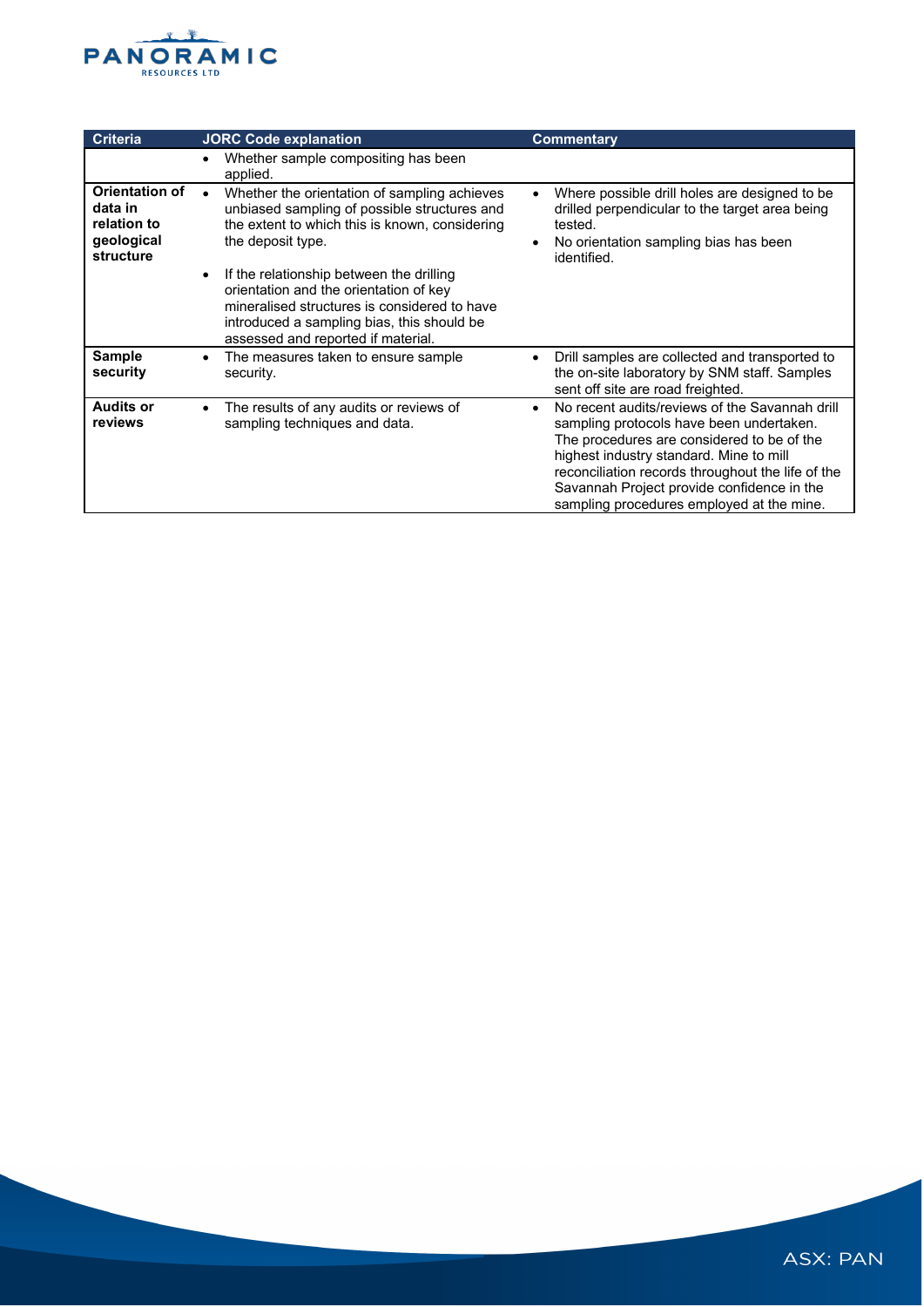

| <b>Criteria</b>                                                            | <b>JORC Code explanation</b>                                                                                                                                                                                                                                                                                                                                                                  | <b>Commentary</b>                                                                                                                                                                                                                                                                                                                   |
|----------------------------------------------------------------------------|-----------------------------------------------------------------------------------------------------------------------------------------------------------------------------------------------------------------------------------------------------------------------------------------------------------------------------------------------------------------------------------------------|-------------------------------------------------------------------------------------------------------------------------------------------------------------------------------------------------------------------------------------------------------------------------------------------------------------------------------------|
|                                                                            | Whether sample compositing has been<br>applied.                                                                                                                                                                                                                                                                                                                                               |                                                                                                                                                                                                                                                                                                                                     |
| <b>Orientation of</b><br>data in<br>relation to<br>geological<br>structure | Whether the orientation of sampling achieves<br>unbiased sampling of possible structures and<br>the extent to which this is known, considering<br>the deposit type.<br>If the relationship between the drilling<br>orientation and the orientation of key<br>mineralised structures is considered to have<br>introduced a sampling bias, this should be<br>assessed and reported if material. | Where possible drill holes are designed to be<br>drilled perpendicular to the target area being<br>tested.<br>No orientation sampling bias has been<br>identified.                                                                                                                                                                  |
| <b>Sample</b><br>security                                                  | The measures taken to ensure sample<br>security.                                                                                                                                                                                                                                                                                                                                              | Drill samples are collected and transported to<br>the on-site laboratory by SNM staff. Samples<br>sent off site are road freighted.                                                                                                                                                                                                 |
| <b>Audits or</b><br>reviews                                                | The results of any audits or reviews of<br>sampling techniques and data.                                                                                                                                                                                                                                                                                                                      | No recent audits/reviews of the Savannah drill<br>sampling protocols have been undertaken.<br>The procedures are considered to be of the<br>highest industry standard. Mine to mill<br>reconciliation records throughout the life of the<br>Savannah Project provide confidence in the<br>sampling procedures employed at the mine. |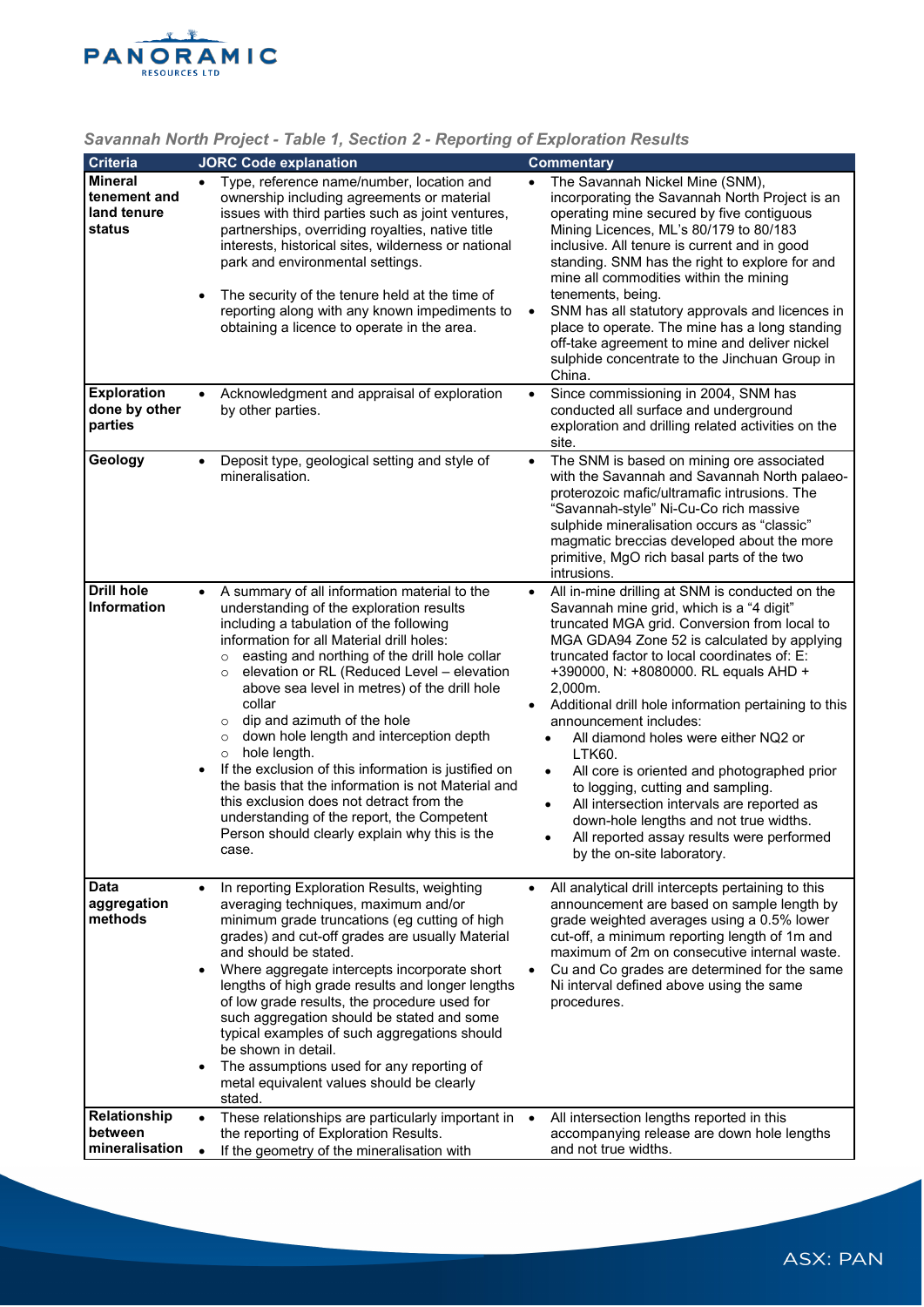

|                                                |                        | $\sim$ . The community of the community of the community of the community of the community of the community of the community of the community of the community of the community of the community of the community of the commun                                                                                                                                                                                                                                                                                                                                                                                                                                                                                                                              |           |                                                                                                                                                                                                                                                                                                                                                                                                                                                                                                                                                                                                                                                                                                               |
|------------------------------------------------|------------------------|--------------------------------------------------------------------------------------------------------------------------------------------------------------------------------------------------------------------------------------------------------------------------------------------------------------------------------------------------------------------------------------------------------------------------------------------------------------------------------------------------------------------------------------------------------------------------------------------------------------------------------------------------------------------------------------------------------------------------------------------------------------|-----------|---------------------------------------------------------------------------------------------------------------------------------------------------------------------------------------------------------------------------------------------------------------------------------------------------------------------------------------------------------------------------------------------------------------------------------------------------------------------------------------------------------------------------------------------------------------------------------------------------------------------------------------------------------------------------------------------------------------|
| <b>Criteria</b><br><b>Mineral</b>              |                        | <b>JORC Code explanation</b><br>Type, reference name/number, location and                                                                                                                                                                                                                                                                                                                                                                                                                                                                                                                                                                                                                                                                                    |           | <b>Commentary</b><br>The Savannah Nickel Mine (SNM),                                                                                                                                                                                                                                                                                                                                                                                                                                                                                                                                                                                                                                                          |
| tenement and<br>land tenure<br>status          | $\bullet$              | ownership including agreements or material<br>issues with third parties such as joint ventures,<br>partnerships, overriding royalties, native title<br>interests, historical sites, wilderness or national<br>park and environmental settings.<br>The security of the tenure held at the time of<br>reporting along with any known impediments to<br>obtaining a licence to operate in the area.                                                                                                                                                                                                                                                                                                                                                             |           | incorporating the Savannah North Project is an<br>operating mine secured by five contiguous<br>Mining Licences, ML's 80/179 to 80/183<br>inclusive. All tenure is current and in good<br>standing. SNM has the right to explore for and<br>mine all commodities within the mining<br>tenements, being.<br>SNM has all statutory approvals and licences in<br>place to operate. The mine has a long standing<br>off-take agreement to mine and deliver nickel<br>sulphide concentrate to the Jinchuan Group in<br>China.                                                                                                                                                                                       |
| <b>Exploration</b><br>done by other<br>parties | $\bullet$              | Acknowledgment and appraisal of exploration<br>by other parties.                                                                                                                                                                                                                                                                                                                                                                                                                                                                                                                                                                                                                                                                                             | $\bullet$ | Since commissioning in 2004, SNM has<br>conducted all surface and underground<br>exploration and drilling related activities on the<br>site.                                                                                                                                                                                                                                                                                                                                                                                                                                                                                                                                                                  |
| Geology                                        |                        | Deposit type, geological setting and style of<br>mineralisation.                                                                                                                                                                                                                                                                                                                                                                                                                                                                                                                                                                                                                                                                                             |           | The SNM is based on mining ore associated<br>with the Savannah and Savannah North palaeo-<br>proterozoic mafic/ultramafic intrusions. The<br>"Savannah-style" Ni-Cu-Co rich massive<br>sulphide mineralisation occurs as "classic"<br>magmatic breccias developed about the more<br>primitive, MgO rich basal parts of the two<br>intrusions.                                                                                                                                                                                                                                                                                                                                                                 |
| <b>Drill hole</b><br>Information               | $\bullet$<br>$\bullet$ | A summary of all information material to the<br>understanding of the exploration results<br>including a tabulation of the following<br>information for all Material drill holes:<br>easting and northing of the drill hole collar<br>$\circ$<br>elevation or RL (Reduced Level - elevation<br>$\circ$<br>above sea level in metres) of the drill hole<br>collar<br>dip and azimuth of the hole<br>$\circ$<br>down hole length and interception depth<br>$\circ$<br>hole length.<br>$\circ$<br>If the exclusion of this information is justified on<br>the basis that the information is not Material and<br>this exclusion does not detract from the<br>understanding of the report, the Competent<br>Person should clearly explain why this is the<br>case. |           | All in-mine drilling at SNM is conducted on the<br>Savannah mine grid, which is a "4 digit"<br>truncated MGA grid. Conversion from local to<br>MGA GDA94 Zone 52 is calculated by applying<br>truncated factor to local coordinates of: E:<br>+390000, N: +8080000. RL equals AHD +<br>2,000m.<br>Additional drill hole information pertaining to this<br>announcement includes:<br>All diamond holes were either NQ2 or<br><b>LTK60.</b><br>All core is oriented and photographed prior<br>$\bullet$<br>to logging, cutting and sampling.<br>All intersection intervals are reported as<br>down-hole lengths and not true widths.<br>All reported assay results were performed<br>by the on-site laboratory. |
| <b>Data</b><br>aggregation<br>methods          | $\bullet$              | In reporting Exploration Results, weighting<br>averaging techniques, maximum and/or<br>minimum grade truncations (eg cutting of high<br>grades) and cut-off grades are usually Material<br>and should be stated.<br>Where aggregate intercepts incorporate short<br>lengths of high grade results and longer lengths<br>of low grade results, the procedure used for<br>such aggregation should be stated and some<br>typical examples of such aggregations should<br>be shown in detail.<br>The assumptions used for any reporting of<br>metal equivalent values should be clearly<br>stated.                                                                                                                                                               |           | All analytical drill intercepts pertaining to this<br>announcement are based on sample length by<br>grade weighted averages using a 0.5% lower<br>cut-off, a minimum reporting length of 1m and<br>maximum of 2m on consecutive internal waste.<br>Cu and Co grades are determined for the same<br>Ni interval defined above using the same<br>procedures.                                                                                                                                                                                                                                                                                                                                                    |
| Relationship<br>between<br>mineralisation      | $\bullet$<br>$\bullet$ | These relationships are particularly important in<br>the reporting of Exploration Results.<br>If the geometry of the mineralisation with                                                                                                                                                                                                                                                                                                                                                                                                                                                                                                                                                                                                                     | $\bullet$ | All intersection lengths reported in this<br>accompanying release are down hole lengths<br>and not true widths.                                                                                                                                                                                                                                                                                                                                                                                                                                                                                                                                                                                               |

# *Savannah North Project - Table 1, Section 2 - Reporting of Exploration Results*